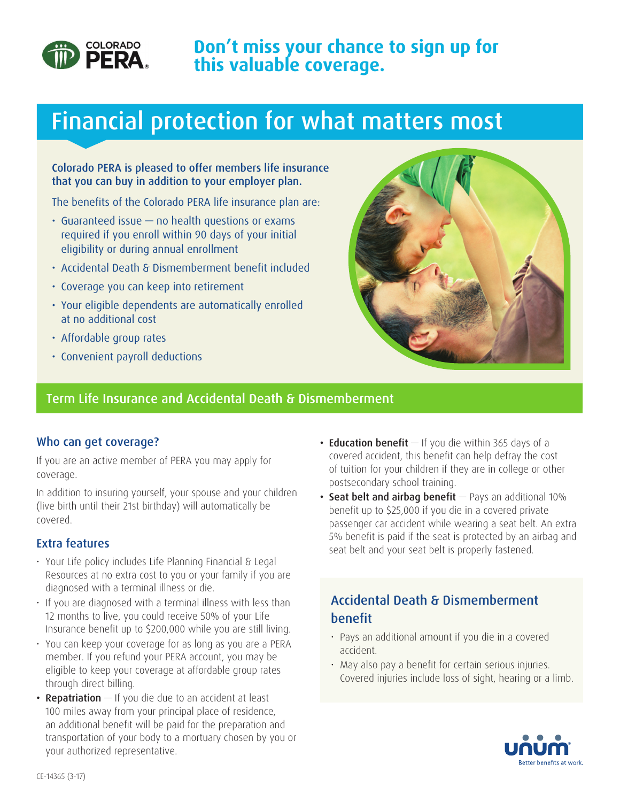

# Financial protection for what matters most

### Colorado PERA is pleased to offer members life insurance that you can buy in addition to your employer plan.

The benefits of the Colorado PERA life insurance plan are:

- Guaranteed issue no health questions or exams required if you enroll within 90 days of your initial eligibility or during annual enrollment
- Accidental Death & Dismemberment benefit included
- Coverage you can keep into retirement
- Your eligible dependents are automatically enrolled at no additional cost
- Affordable group rates
- Convenient payroll deductions



## Term Life Insurance and Accidental Death & Dismemberment

### Who can get coverage?

If you are an active member of PERA you may apply for coverage.

In addition to insuring yourself, your spouse and your children (live birth until their 21st birthday) will automatically be covered.

## Extra features

- Your Life policy includes Life Planning Financial & Legal Resources at no extra cost to you or your family if you are diagnosed with a terminal illness or die.
- If you are diagnosed with a terminal illness with less than 12 months to live, you could receive 50% of your Life Insurance benefit up to \$200,000 while you are still living.
- You can keep your coverage for as long as you are a PERA member. If you refund your PERA account, you may be eligible to keep your coverage at affordable group rates through direct billing.
- **Repatriation**  $-$  If you die due to an accident at least 100 miles away from your principal place of residence, an additional benefit will be paid for the preparation and transportation of your body to a mortuary chosen by you or your authorized representative.
- **Education benefit**  $-$  If you die within 365 days of a covered accident, this benefit can help defray the cost of tuition for your children if they are in college or other postsecondary school training.
- Seat belt and airbag benefit Pays an additional 10% benefit up to \$25,000 if you die in a covered private passenger car accident while wearing a seat belt. An extra 5% benefit is paid if the seat is protected by an airbag and seat belt and your seat belt is properly fastened.

# Accidental Death & Dismemberment benefit

- Pays an additional amount if you die in a covered accident.
- May also pay a benefit for certain serious injuries. Covered injuries include loss of sight, hearing or a limb.

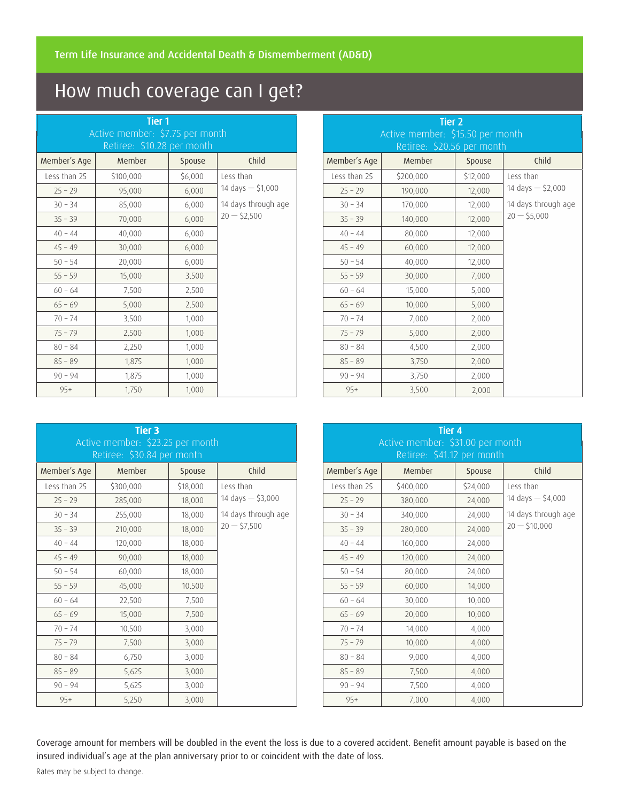# How much coverage can I get?

| <b>Tier 1</b><br>Active member: \$7.75 per month<br>Retiree: \$10.28 per month |           |         |                                      |  |  |
|--------------------------------------------------------------------------------|-----------|---------|--------------------------------------|--|--|
| Member's Age                                                                   | Member    | Spouse  | Child                                |  |  |
| Less than 25                                                                   | \$100,000 | \$6,000 | Less than                            |  |  |
| $25 - 29$                                                                      | 95,000    | 6,000   | 14 days $-$ \$1,000                  |  |  |
| $30 - 34$                                                                      | 85,000    | 6,000   | 14 days through age<br>$20 - 52,500$ |  |  |
| $35 - 39$                                                                      | 70,000    | 6,000   |                                      |  |  |
| $40 - 44$                                                                      | 40,000    | 6,000   |                                      |  |  |
| $45 - 49$                                                                      | 30,000    | 6,000   |                                      |  |  |
| $50 - 54$                                                                      | 20,000    | 6,000   |                                      |  |  |
| $55 - 59$                                                                      | 15,000    | 3,500   |                                      |  |  |
| $60 - 64$                                                                      | 7,500     | 2,500   |                                      |  |  |
| $65 - 69$                                                                      | 5,000     | 2,500   |                                      |  |  |
| $70 - 74$                                                                      | 3,500     | 1,000   |                                      |  |  |
| $75 - 79$                                                                      | 2,500     | 1,000   |                                      |  |  |
| $80 - 84$                                                                      | 2,250     | 1,000   |                                      |  |  |
| $85 - 89$                                                                      | 1,875     | 1,000   |                                      |  |  |
| $90 - 94$                                                                      | 1,875     | 1,000   |                                      |  |  |
| $95+$                                                                          | 1,750     | 1,000   |                                      |  |  |

| <b>Tier 2</b><br>Active member: \$15.50 per month<br>Retiree: \$20.56 per month |           |          |                     |  |  |
|---------------------------------------------------------------------------------|-----------|----------|---------------------|--|--|
| Member's Age                                                                    | Member    | Spouse   | Child               |  |  |
| Less than 25                                                                    | \$200,000 | \$12,000 | Less than           |  |  |
| $25 - 29$                                                                       | 190,000   | 12,000   | 14 days $-$ \$2,000 |  |  |
| $30 - 34$                                                                       | 170,000   | 12,000   | 14 days through age |  |  |
| $35 - 39$                                                                       | 140,000   | 12,000   | $20 - 55,000$       |  |  |
| $40 - 44$                                                                       | 80,000    | 12,000   |                     |  |  |
| $45 - 49$                                                                       | 60,000    | 12,000   |                     |  |  |
| $50 - 54$                                                                       | 40,000    | 12,000   |                     |  |  |
| $55 - 59$                                                                       | 30,000    | 7,000    |                     |  |  |
| $60 - 64$                                                                       | 15,000    | 5,000    |                     |  |  |
| $65 - 69$                                                                       | 10,000    | 5,000    |                     |  |  |
| $70 - 74$                                                                       | 7,000     | 2,000    |                     |  |  |
| $75 - 79$                                                                       | 5,000     | 2,000    |                     |  |  |
| $80 - 84$                                                                       | 4,500     | 2,000    |                     |  |  |
| $85 - 89$                                                                       | 3,750     | 2,000    |                     |  |  |
| $90 - 94$                                                                       | 3,750     | 2,000    |                     |  |  |
| $95+$                                                                           | 3,500     | 2,000    |                     |  |  |

| Tier 3<br>Active member: \$23.25 per month<br>Retiree: \$30.84 per month |           |          |                                      |  |  |
|--------------------------------------------------------------------------|-----------|----------|--------------------------------------|--|--|
| Member's Age                                                             | Member    | Spouse   | Child                                |  |  |
| Less than 25                                                             | \$300,000 | \$18,000 | Less than                            |  |  |
| $25 - 29$                                                                | 285,000   | 18,000   | 14 days $-$ \$3,000                  |  |  |
| $30 - 34$                                                                | 255,000   | 18,000   | 14 days through age<br>$20 - 57,500$ |  |  |
| $35 - 39$                                                                | 210,000   | 18,000   |                                      |  |  |
| $40 - 44$                                                                | 120,000   | 18,000   |                                      |  |  |
| $45 - 49$                                                                | 90,000    | 18,000   |                                      |  |  |
| $50 - 54$                                                                | 60,000    | 18,000   |                                      |  |  |
| $55 - 59$                                                                | 45,000    | 10,500   |                                      |  |  |
| $60 - 64$                                                                | 22,500    | 7,500    |                                      |  |  |
| $65 - 69$                                                                | 15,000    | 7,500    |                                      |  |  |
| $70 - 74$                                                                | 10,500    | 3,000    |                                      |  |  |
| $75 - 79$                                                                | 7,500     | 3,000    |                                      |  |  |
| $80 - 84$                                                                | 6,750     | 3,000    |                                      |  |  |
| $85 - 89$                                                                | 5,625     | 3,000    |                                      |  |  |
| $90 - 94$                                                                | 5,625     | 3,000    |                                      |  |  |
| $95+$                                                                    | 5,250     | 3,000    |                                      |  |  |

| Tier <sub>4</sub><br>Active member: \$31.00 per month<br>Retiree: \$41.12 per month |           |          |                                       |  |  |
|-------------------------------------------------------------------------------------|-----------|----------|---------------------------------------|--|--|
| Member's Age                                                                        | Member    | Spouse   | Child                                 |  |  |
| Less than 25                                                                        | \$400,000 | \$24,000 | Less than                             |  |  |
| $25 - 29$                                                                           | 380,000   | 24,000   | 14 days $-$ \$4,000                   |  |  |
| $30 - 34$                                                                           | 340,000   | 24,000   | 14 days through age<br>$20 - $10,000$ |  |  |
| $35 - 39$                                                                           | 280,000   | 24,000   |                                       |  |  |
| $40 - 44$                                                                           | 160,000   | 24,000   |                                       |  |  |
| $45 - 49$                                                                           | 120,000   | 24,000   |                                       |  |  |
| $50 - 54$                                                                           | 80,000    | 24,000   |                                       |  |  |
| $55 - 59$                                                                           | 60,000    | 14,000   |                                       |  |  |
| $60 - 64$                                                                           | 30,000    | 10,000   |                                       |  |  |
| $65 - 69$                                                                           | 20,000    | 10,000   |                                       |  |  |
| $70 - 74$                                                                           | 14,000    | 4,000    |                                       |  |  |
| $75 - 79$                                                                           | 10,000    | 4,000    |                                       |  |  |
| $80 - 84$                                                                           | 9,000     | 4,000    |                                       |  |  |
| $85 - 89$                                                                           | 7,500     | 4,000    |                                       |  |  |
| $90 - 94$                                                                           | 7,500     | 4,000    |                                       |  |  |
| $95+$                                                                               | 7,000     | 4,000    |                                       |  |  |

Coverage amount for members will be doubled in the event the loss is due to a covered accident. Benefit amount payable is based on the insured individual's age at the plan anniversary prior to or coincident with the date of loss.